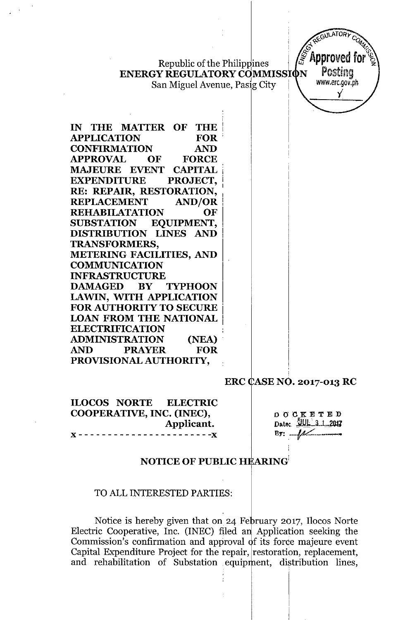Republic of the Philippines **ENERGY REGULATORY COMMISSION** 

San Miguel Avenue, Pasig City

IN THE MATTER OF **THE APPLICATION FOR CONFIRMATION AND APPROVAL** OF **FORCE MAJEURE EVENT CAPITAL EXPENDITURE** PROJECT, RE: REPAIR, RESTORATION, **REPLACEMENT AND/OR REHABILATATION** OF **EQUIPMENT, SUBSTATION** DISTRIBUTION LINES AND **TRANSFORMERS. METERING FACILITIES, AND COMMUNICATION INFRASTRUCTURE DAMAGED BY TYPHOON LAWIN, WITH APPLICATION FOR AUTHORITY TO SECURE LOAN FROM THE NATIONAL ELECTRIFICATION ADMINISTRATION** (NEA) **AND PRAYER FOR** PROVISIONAL AUTHORITY,

ERC CASE NO. 2017-013 RC

**ILOCOS NORTE ELECTRIC** COOPERATIVE, INC. (INEC), Applicant.  $- -x$ 

**DOCKETED** Date: *JUL 3.1 2017*  $\mathbf{B} \mathbf{y}: \mathcal{M}$ 

**AULATOR** 

**Approved** f

Postina

www.erc.gov.ph

Y

### **NOTICE OF PUBLIC HEARING**

### TO ALL INTERESTED PARTIES:

Notice is hereby given that on 24 February 2017, Ilocos Norte Electric Cooperative, Inc. (INEC) filed an Application seeking the Commission's confirmation and approval of its force majeure event Capital Expenditure Project for the repair, restoration, replacement, and rehabilitation of Substation equipment, distribution lines,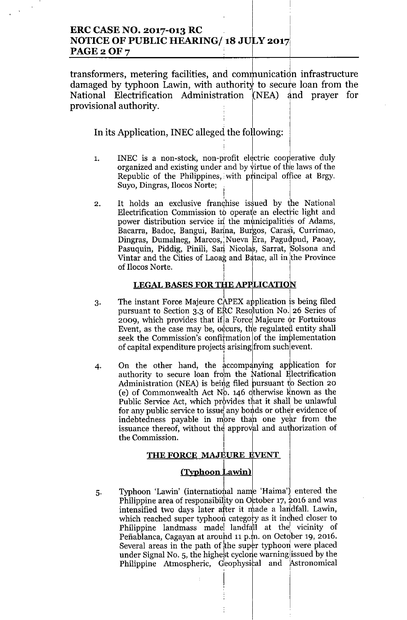## **ERC CASE NO. 2017-013 RC NOTICE OF PUBLIC HEARING/18 JULY 2017** PAGE 2 OF 7

transformers, metering facilities, and communication infrastructure damaged by typhoon Lawin, with authority to secure loan from the National Electrification Administration (NEA) and prayer for provisional authority.

In its Application, INEC alleged the following:

- INEC is a non-stock, non-profit electric cooperative duly 1. organized and existing under and by virtue of the laws of the Republic of the Philippines, with principal office at Brgy. Suyo, Dingras, Ilocos Norte;
- It holds an exclusive franchise issued by the National  $2.$ Electrification Commission to operate an electric light and power distribution service in the municipalities of Adams, Bacarra, Badoc, Bangui, Banna, Burgos, Carasi, Currimao, Dingras, Dumalneg, Marcos, Nueva Era, Pagudpud, Paoay, Pasuquin, Piddig, Pinili, San Nicolas, Sarrat, Solsona and Vintar and the Cities of Laoag and Batac, all in the Province of Ilocos Norte.

# **LEGAL BASES FOR THE APPLICATION**

- The instant Force Majeure CAPEX application is being filed  $3.$ pursuant to Section 3.3 of ERC Resolution No. 26 Series of 2009, which provides that if a Force Majeure or Fortuitous Event, as the case may be, occurs, the regulated entity shall seek the Commission's confirmation of the implementation of capital expenditure projects arising from such event.
- On the other hand, the accompanying application for 4. authority to secure loan from the National Electrification Administration (NEA) is being filed pursuant to Section 20 (e) of Commonwealth Act  $N_0$ . 146 otherwise known as the Public Service Act, which provides that it shall be unlawful for any public service to issue any bonds or other evidence of indebtedness payable in more than one year from the issuance thereof, without the approval and authorization of the Commission.

### THE FORCE MAJEURE EVENT

### (Typhoon Lawin)

Typhoon 'Lawin' (international name 'Haima') entered the 5. Philippine area of responsibility on October 17, 2016 and was intensified two days later after it made a landfall. Lawin, which reached super typhoon category as it inched closer to Philippine landmass made landfall at the vicinity of Peñablanca, Cagayan at around 11 p.m. on October 19, 2016. Several areas in the path of the super typhoon were placed under Signal No. 5, the highest cyclone warning issued by the Philippine Atmospheric, Geophysical and Astronomical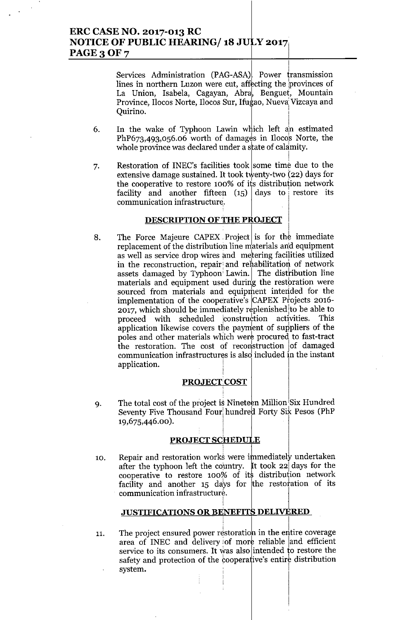## **ERC CASE NO. 2017-013 RC NOTICE OF PUBLIC HEARING/ 18 J ;y** 2017]' **PAGE 3 OF 7**

Services Administration (PAG-ASA). Power transmission lines in northern Luzon were cut, affecting the provinces of La Union, Isabela, Cagayan, Abra, Benguet, Mountain Province, Ilocos Norte, Ilocos Sur, Ifugao, Nueva Vizcaya and Quirino. <sup>I</sup>

- 6. In the wake of Typhoon Lawin which left an estimated  $PhP673,493,056.06$  worth of damages in Ilocos Norte, the whole province was declared under a state of calamity
- 7. Restoration of INEC's facilities took some time due to the extensive damage sustained. It took twenty-two (22) days for the cooperative to restore 100% of its distribution network facility and another fifteen  $(15)$  days to restore its communication infrastructure.

### **DESCRIPTION OF THE PROJECT**

, Indian (1986), Indian (1986), Indian (1986), Indian (1986), Indian (1986), Indian (1986), Indian (1986), Indian (

8. The Force Majeure CAPEX Project is for the immediate replacement of the distribution line materials an'd equipment as well as service drop wires and metering facilities utilized in the reconstruction, repair and rehabilitation of network assets damaged by Typhoon<sup>:</sup> Lawin. The distribution line materials and equipment used during the restoration were sourced from materials and equiprhent intended for the implementation of the cooperative's  $CAPEX$  Projects 2016- $2017$ , which should be immediately replenished to be able to proceed with scheduled construction activities. This application likewise covers the payment of suppliers of the poles and other materials which were procured to fast-tract the restoration. The cost of reconstruction of damaged communication infrastructures is alsd included in the instant application.

### PROJECT COST

I

i

9. The total cost of the project is Nineteen Million Six Hundred Seventy Five Thousand Four hundred Forty Six Pesos (PhP 19,675,446.00).

### **PROJECT SCHEDULE**

10. Repair and restoration works were immediately undertaken after the typhoon left the country. It took 22 days for the cooperative to restore  $100\%$  of its distribution network facility and another 15 days for the restoration of its communication infrastructure.

#### I **JUSTIFICATIONS OR BENEFITS DELIVERED**

11. The project ensured power restoration in the entire coverage area of INEC and delivery of more reliable and efficient service to its consumers. It was also intended to restore the safety and protection of the cooperative's entire distribution system.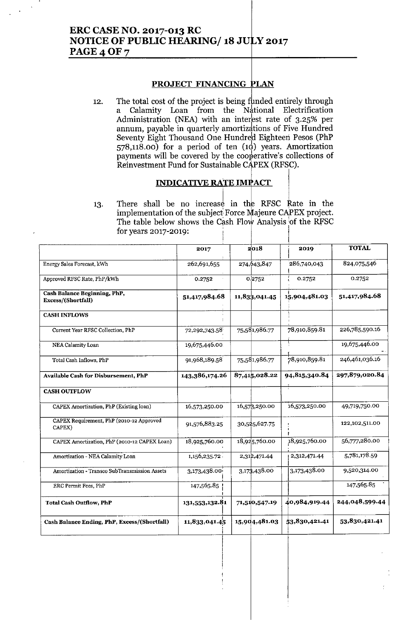# **ERC CASE NO. 2017-013 RC NOTICE OF PUBLIC HEARING/18 JULY 2017** PAGE 4 OF 7

### PROJECT FINANCING PLAN

The total cost of the project is being funded entirely through 12. Calamity Loan from the National Electrification a Administration (NEA) with an interest rate of 3.25% per annum, payable in quarterly amortizations of Five Hundred Seventy Eight Thousand One Hundred Eighteen Pesos (PhP  $(578,118.00)$  for a period of ten  $(10)$  years. Amortization payments will be covered by the cooperative's collections of Reinvestment Fund for Sustainable CAPEX (RFSC).

### **INDICATIVE RATE IMPACT**

There shall be no increase in the RFSC Rate in the 13. implementation of the subject Force Majeure CAPEX project. The table below shows the Cash Flow Analysis of the RFSC for years 2017-2019:

|                                                    | 2017           | $2^1$ 018     | 2019          | <b>TOTAL</b>   |
|----------------------------------------------------|----------------|---------------|---------------|----------------|
| Energy Sales Forecast, kWh                         | 262,691,655    | 274,643,847   | 286,740,043   | 824,075,546    |
| Approved RFSC Rate, PhP/kWh                        | 0.2752         | 0.2752        | 0.2752        | 0.2752         |
| Cash Balance Beginning, PhP,<br>Excess/(Shortfall) | 51,417,984.68  | 11,833,041.45 | 15,904,481.03 | 51,417,984.68  |
| <b>CASH INFLOWS</b>                                |                |               |               |                |
| Current Year RFSC Collection, PhP                  | 72,292,743.58  | 75,581,986.77 | 78,910,859.81 | 226,785,590.16 |
| NEA Calamity Loan                                  | 19,675,446.00. |               |               | 19,675,446.00  |
| Total Cash Inflows, PhP                            | 91,968,189.58  | 75,581,986.77 | 78,910,859.81 | 246,461,036.16 |
| <b>Available Cash for Disbursement, PhP</b>        | 143,386,174.26 | 87,415,028.22 | 94,815,340.84 | 297,879,020.84 |
| <b>CASH OUTFLOW</b>                                |                |               | Τ             |                |
| CAPEX Amortization, PhP (Existing loan)            | 16,573,250.00  | 16,578,250.00 | 16,573,250.00 | 49,719,750.00  |
| CAPEX Requirement, PhP (2010-12 Approved<br>CAPEX) | 91,576,883.25  | 30,525,627.75 |               | 122,102,511.00 |
| CAPEX Amortization, PhP (2010-12 CAPEX Loan)       | 18,925,760.00  | 18,925,760.00 | 18,925,760.00 | 56,777,280.00  |
| Amortization - NEA Calamity Loan                   | 1,156,235.72.  | 2,312,471.44  | 2,312,471.44  | 5,781,178.59   |
| Amortization - Transco SubTransmission Assets      | 3,173,438.00   | 3,173,438.00  | 3,173,438.00  | 9,520,314.00   |
| ERC Permit Fees, PhP                               | 147,565.85     |               |               | 147,565.85     |
| <b>Total Cash Outflow, PhP</b>                     | 131,553,132.81 | 71,510,547.19 | 40,984,919.44 | 244,048,599.44 |
| Cash Balance Ending, PhP, Excess/(Shortfall)       | 11,833,041.45  | 15,904,481.03 | 53,830,421.41 | 53,830,421.41  |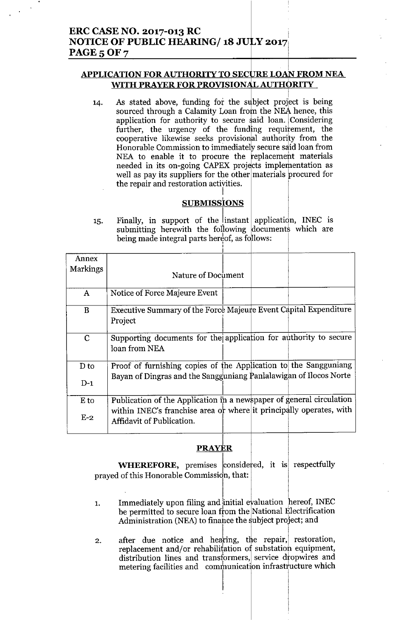## **APPLICATION FOR AUTHORITY TO SECURE LOAN FROM NEA** WITH PRAYER FOR PROVISIONAL AUTHORITY

As stated above, funding for the subject project is being  $14.$ sourced through a Calamity Loan from the NEA hence, this application for authority to secure said loan. Considering further, the urgency of the funding requirement, the cooperative likewise seeks provisional authority from the Honorable Commission to immediately secure said loan from NEA to enable it to procure the replacement materials needed in its on-going CAPEX projects implementation as well as pay its suppliers for the other materials procured for the repair and restoration activities.

## **SUBMISSIONS**

Finally, in support of the instant application, INEC is 15. submitting herewith the following documents which are being made integral parts hereof, as follows:

| Annex       |                                                                                                  |
|-------------|--------------------------------------------------------------------------------------------------|
| Markings    | Nature of Document                                                                               |
|             |                                                                                                  |
| A           | Notice of Force Majeure Event                                                                    |
| $\bf{B}$    | Executive Summary of the Force Majeure Event Capital Expenditure                                 |
|             | Project                                                                                          |
| $\mathbf C$ | Supporting documents for the application for authority to secure                                 |
|             | loan from NEA                                                                                    |
| $D_{10}$    | Proof of furnishing copies of the Application to the Sangguniang                                 |
| $D-1$       | Bayan of Dingras and the Sangguniang Panlalawigan of Ilocos Norte                                |
| $E$ to      | Publication of the Application in a newspaper of general circulation                             |
| $E-2$       | within INEC's franchise area or where it principally operates, with<br>Affidavit of Publication. |
|             |                                                                                                  |

## **PRAYER**

WHEREFORE, premises considered, it is respectfully prayed of this Honorable Commission, that:

- Immediately upon filing and initial evaluation hereof, INEC  $\mathbf{1}$ . be permitted to secure loan from the National Electrification Administration (NEA) to finance the subject project; and
- after due notice and hearing, the repair, restoration,  $2.$ replacement and/or rehabilitation of substation equipment, distribution lines and transformers, service dropwires and metering facilities and communication infrastructure which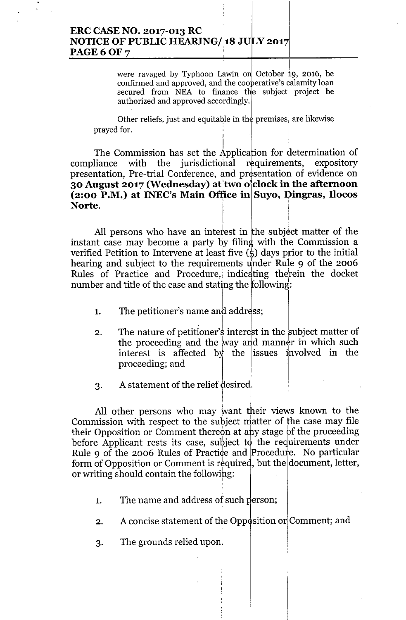## ERC CASE NO. 2017-013 RC <sup>I</sup> NOTICE OF PUBLIC HEARING/18 JULY 2017 **PAGE 6 OF 7**

were ravaged by Typhoon Lawin on October 19, 2016, be confirmed and approved, and the cooperative's calamity loan secured from NEA to finance the subject project be authorized and approved accordingly.

! Other reliefs, just and equitable in the premises) are likewise prayed for.

I

I, The Commission has set the Application for determination of compliance with the jurisdictional requirements, expository presentation, Pre-trial Conference, and presentation of evidence on 30 August 2017 (Wednesday) at two o'clock in the afternoon  $(2:00 \text{ P.M.})$  at INEC's Main Office in Suyo, Dingras, Ilocos Norte.

All persons who have an interest in the subject matter of the instant case may become a party by filing with the Commission a verified Petition to Intervene at least five  $(\frac{1}{2})$  days prior to the initial hearing and subject to the requirements under Rule 9 of the 2006 Rules of Practice and Procedure, indicating therein the docket number and title of the case and stating the following:

- 1. The petitioner's name and address;
- 2. The nature of petitioner's interest in the subject matter of the proceeding and the way and manner in which such interest is affected by the issues involved in the proceeding; and
- 3. A statement of the relief desired

All other persons who may want their views known to the Commission with respect to the subject matter of the case may file their Opposition or Comment thereon at any stage of the proceeding before Applicant rests its case, subject to the requirements under Rule 9 of the 2006 Rules of Practice and Procedure. No particular form of Opposition or Comment is required, but the document, letter, or writing should contain the following:

. !

- 1. The name and address of such person
- A concise statement of the Opposition or Comment; and 2. !

I

I

 $3.$  The grounds relied upon  $\vert$   $\vert$